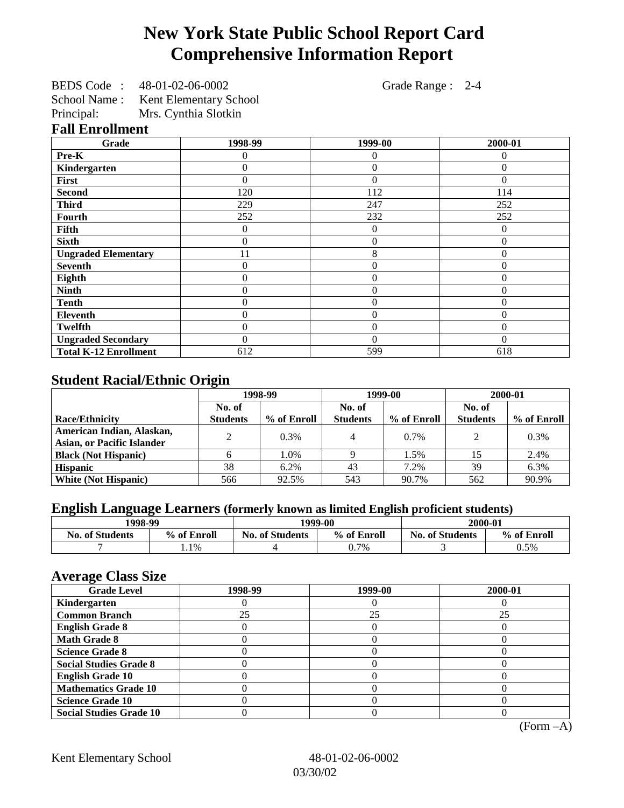# **New York State Public School Report Card Comprehensive Information Report**

| BEDS Code:   | 48-01-02-06-0002              |
|--------------|-------------------------------|
| School Name: | <b>Kent Elementary School</b> |
| Principal:   | Mrs. Cynthia Slotkin          |

Grade Range : 2-4

#### **Fall Enrollment**

| Grade                        | 1998-99  | 1999-00        | 2000-01  |
|------------------------------|----------|----------------|----------|
| Pre-K                        | 0        | $\Omega$       | 0        |
| Kindergarten                 | 0        | $\theta$       | $\Omega$ |
| First                        | 0        | $\Omega$       | $\Omega$ |
| <b>Second</b>                | 120      | 112            | 114      |
| <b>Third</b>                 | 229      | 247            | 252      |
| <b>Fourth</b>                | 252      | 232            | 252      |
| Fifth                        | 0        | $\overline{0}$ | $\Omega$ |
| <b>Sixth</b>                 | 0        | $\overline{0}$ | $\theta$ |
| <b>Ungraded Elementary</b>   | 11       | 8              | $\Omega$ |
| <b>Seventh</b>               | 0        | $\Omega$       | $\Omega$ |
| Eighth                       | 0        | 0              | $\Omega$ |
| <b>Ninth</b>                 | 0        | $\overline{0}$ | 0        |
| <b>Tenth</b>                 | 0        | $\Omega$       | $\Omega$ |
| <b>Eleventh</b>              | 0        | $\Omega$       | $\Omega$ |
| <b>Twelfth</b>               | 0        | $\theta$       | $\Omega$ |
| <b>Ungraded Secondary</b>    | $\Omega$ | $\theta$       | $\Omega$ |
| <b>Total K-12 Enrollment</b> | 612      | 599            | 618      |

## **Student Racial/Ethnic Origin**

|                                   | 1998-99         |             | 1999-00         |             | 2000-01         |             |
|-----------------------------------|-----------------|-------------|-----------------|-------------|-----------------|-------------|
|                                   | No. of          |             | No. of          |             | No. of          |             |
| <b>Race/Ethnicity</b>             | <b>Students</b> | % of Enroll | <b>Students</b> | % of Enroll | <b>Students</b> | % of Enroll |
| American Indian, Alaskan,         | ↑               | 0.3%        | 4               | 0.7%        | $\mathcal{D}$   | 0.3%        |
| <b>Asian, or Pacific Islander</b> |                 |             |                 |             |                 |             |
| <b>Black (Not Hispanic)</b>       |                 | 1.0%        |                 | 1.5%        |                 | 2.4%        |
| <b>Hispanic</b>                   | 38              | 6.2%        | 43              | 7.2%        | 39              | 6.3%        |
| <b>White (Not Hispanic)</b>       | 566             | 92.5%       | 543             | 90.7%       | 562             | 90.9%       |

# **English Language Learners (formerly known as limited English proficient students)**

|                        | 1998-99     |                        | 1999-00     |                        | 2000-01     |
|------------------------|-------------|------------------------|-------------|------------------------|-------------|
| <b>No. of Students</b> | % of Enroll | <b>No. of Students</b> | % of Enroll | <b>No. of Students</b> | % of Enroll |
|                        | $.1\%$      |                        | 0.7%        |                        | 0.5%        |

## **Average Class Size**

| $-7$<br><b>Grade Level</b>     | 1998-99 | 1999-00 | 2000-01 |
|--------------------------------|---------|---------|---------|
| Kindergarten                   |         |         |         |
| <b>Common Branch</b>           | 25      | 25      | 25      |
| <b>English Grade 8</b>         |         |         |         |
| <b>Math Grade 8</b>            |         |         |         |
| <b>Science Grade 8</b>         |         |         |         |
| <b>Social Studies Grade 8</b>  |         |         |         |
| <b>English Grade 10</b>        |         |         |         |
| <b>Mathematics Grade 10</b>    |         |         |         |
| <b>Science Grade 10</b>        |         |         |         |
| <b>Social Studies Grade 10</b> |         |         |         |

(Form –A)